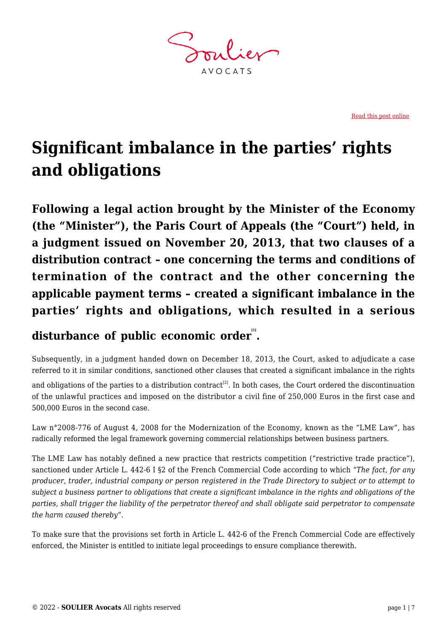**AVOCATS** 

[Read this post online](https://www.soulier-avocats.com/en/significant-imbalance-in-the-parties-rights-and-obligations/)

# **Significant imbalance in the parties' rights and obligations**

**Following a legal action brought by the Minister of the Economy (the "Minister"), the Paris Court of Appeals (the "Court") held, in a judgment issued on November 20, 2013, that two clauses of a distribution contract – one concerning the terms and conditions of termination of the contract and the other concerning the applicable payment terms – created a significant imbalance in the parties' rights and obligations, which resulted in a serious**

# **disturbance of public economic order [1] .**

Subsequently, in a judgment handed down on December 18, 2013, the Court, asked to adjudicate a case referred to it in similar conditions, sanctioned other clauses that created a significant imbalance in the rights

and obligations of the parties to a distribution contract<sup>[2]</sup>. In both cases, the Court ordered the discontinuation of the unlawful practices and imposed on the distributor a civil fine of 250,000 Euros in the first case and 500,000 Euros in the second case.

Law n°2008-776 of August 4, 2008 for the Modernization of the Economy, known as the "LME Law", has radically reformed the legal framework governing commercial relationships between business partners.

The LME Law has notably defined a new practice that restricts competition ("restrictive trade practice"), sanctioned under Article L. 442-6 I §2 of the French Commercial Code according to which "*The fact, for any producer, trader, industrial company or person registered in the Trade Directory to subject or to attempt to subject a business partner to obligations that create a significant imbalance in the rights and obligations of the parties, shall trigger the liability of the perpetrator thereof and shall obligate said perpetrator to compensate the harm caused thereby*"*.*

To make sure that the provisions set forth in Article L. 442-6 of the French Commercial Code are effectively enforced, the Minister is entitled to initiate legal proceedings to ensure compliance therewith.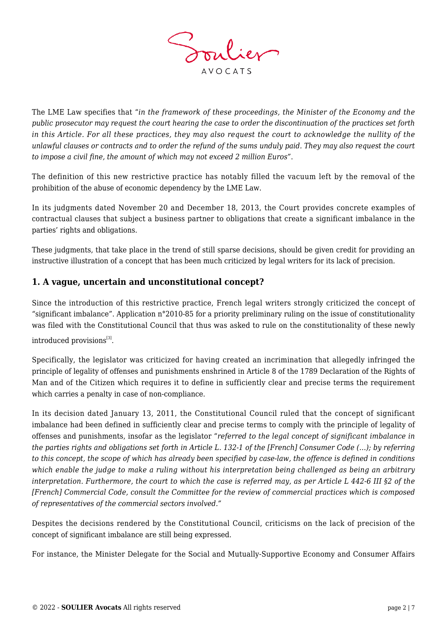

The LME Law specifies that "*in the framework of these proceedings, the Minister of the Economy and the public prosecutor may request the court hearing the case to order the discontinuation of the practices set forth in this Article. For all these practices, they may also request the court to acknowledge the nullity of the unlawful clauses or contracts and to order the refund of the sums unduly paid. They may also request the court to impose a civil fine, the amount of which may not exceed 2 million Euros"*.

The definition of this new restrictive practice has notably filled the vacuum left by the removal of the prohibition of the abuse of economic dependency by the LME Law.

In its judgments dated November 20 and December 18, 2013, the Court provides concrete examples of contractual clauses that subject a business partner to obligations that create a significant imbalance in the parties' rights and obligations.

These judgments, that take place in the trend of still sparse decisions, should be given credit for providing an instructive illustration of a concept that has been much criticized by legal writers for its lack of precision.

## **1. A vague, uncertain and unconstitutional concept?**

Since the introduction of this restrictive practice, French legal writers strongly criticized the concept of "significant imbalance". Application n°2010-85 for a priority preliminary ruling on the issue of constitutionality was filed with the Constitutional Council that thus was asked to rule on the constitutionality of these newly introduced provisions<sup>[3]</sup>.

Specifically, the legislator was criticized for having created an incrimination that allegedly infringed the principle of legality of offenses and punishments enshrined in Article 8 of the 1789 Declaration of the Rights of Man and of the Citizen which requires it to define in sufficiently clear and precise terms the requirement which carries a penalty in case of non-compliance.

In its decision dated January 13, 2011, the Constitutional Council ruled that the concept of significant imbalance had been defined in sufficiently clear and precise terms to comply with the principle of legality of offenses and punishments, insofar as the legislator "*referred to the legal concept of significant imbalance in the parties rights and obligations set forth in Article L. 132-1 of the [French] Consumer Code (…); by referring to this concept, the scope of which has already been specified by case-law, the offence is defined in conditions which enable the judge to make a ruling without his interpretation being challenged as being an arbitrary interpretation. Furthermore, the court to which the case is referred may, as per Article L 442-6 III §2 of the [French] Commercial Code, consult the Committee for the review of commercial practices which is composed of representatives of the commercial sectors involved."*

Despites the decisions rendered by the Constitutional Council, criticisms on the lack of precision of the concept of significant imbalance are still being expressed.

For instance, the Minister Delegate for the Social and Mutually-Supportive Economy and Consumer Affairs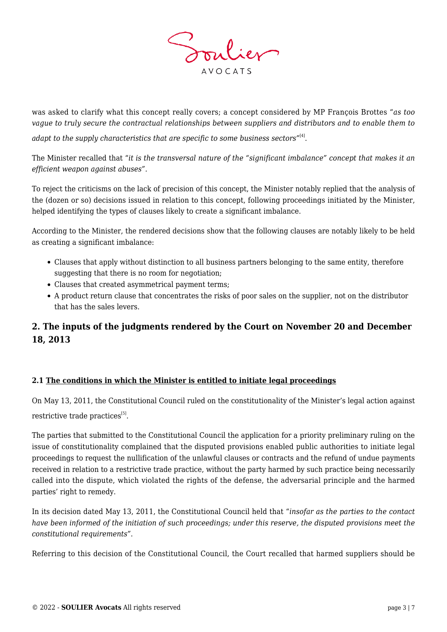

was asked to clarify what this concept really covers; a concept considered by MP François Brottes "*as too vague to truly secure the contractual relationships between suppliers and distributors and to enable them to*

adapt to the supply characteristics that are specific to some business sectors"<sup>[4]</sup>.

The Minister recalled that "*it is the transversal nature of the "significant imbalance" concept that makes it an efficient weapon against abuses".*

To reject the criticisms on the lack of precision of this concept, the Minister notably replied that the analysis of the (dozen or so) decisions issued in relation to this concept, following proceedings initiated by the Minister, helped identifying the types of clauses likely to create a significant imbalance.

According to the Minister, the rendered decisions show that the following clauses are notably likely to be held as creating a significant imbalance:

- Clauses that apply without distinction to all business partners belonging to the same entity, therefore suggesting that there is no room for negotiation;
- Clauses that created asymmetrical payment terms;
- A product return clause that concentrates the risks of poor sales on the supplier, not on the distributor that has the sales levers.

# **2. The inputs of the judgments rendered by the Court on November 20 and December 18, 2013**

### **2.1 The conditions in which the Minister is entitled to initiate legal proceedings**

On May 13, 2011, the Constitutional Council ruled on the constitutionality of the Minister's legal action against restrictive trade practices<sup>[5]</sup>.

The parties that submitted to the Constitutional Council the application for a priority preliminary ruling on the issue of constitutionality complained that the disputed provisions enabled public authorities to initiate legal proceedings to request the nullification of the unlawful clauses or contracts and the refund of undue payments received in relation to a restrictive trade practice, without the party harmed by such practice being necessarily called into the dispute, which violated the rights of the defense, the adversarial principle and the harmed parties' right to remedy.

In its decision dated May 13, 2011, the Constitutional Council held that "*insofar as the parties to the contact have been informed of the initiation of such proceedings; under this reserve, the disputed provisions meet the constitutional requirements"*.

Referring to this decision of the Constitutional Council, the Court recalled that harmed suppliers should be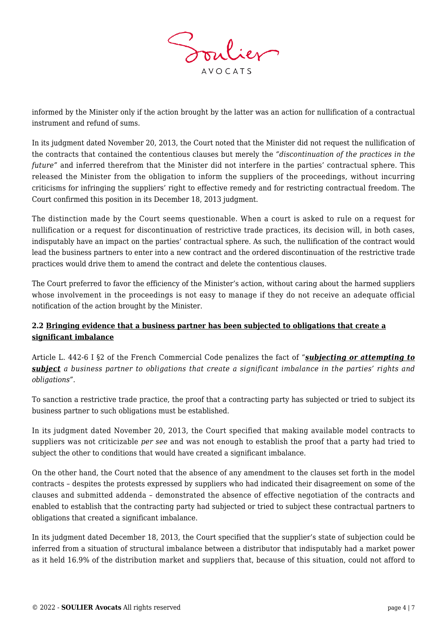

informed by the Minister only if the action brought by the latter was an action for nullification of a contractual instrument and refund of sums.

In its judgment dated November 20, 2013, the Court noted that the Minister did not request the nullification of the contracts that contained the contentious clauses but merely the *"discontinuation of the practices in the future"* and inferred therefrom that the Minister did not interfere in the parties' contractual sphere. This released the Minister from the obligation to inform the suppliers of the proceedings, without incurring criticisms for infringing the suppliers' right to effective remedy and for restricting contractual freedom. The Court confirmed this position in its December 18, 2013 judgment.

The distinction made by the Court seems questionable. When a court is asked to rule on a request for nullification or a request for discontinuation of restrictive trade practices, its decision will, in both cases, indisputably have an impact on the parties' contractual sphere. As such, the nullification of the contract would lead the business partners to enter into a new contract and the ordered discontinuation of the restrictive trade practices would drive them to amend the contract and delete the contentious clauses.

The Court preferred to favor the efficiency of the Minister's action, without caring about the harmed suppliers whose involvement in the proceedings is not easy to manage if they do not receive an adequate official notification of the action brought by the Minister.

### **2.2 Bringing evidence that a business partner has been subjected to obligations that create a significant imbalance**

Article L. 442-6 I §2 of the French Commercial Code penalizes the fact of "*subjecting or attempting to subject a business partner to obligations that create a significant imbalance in the parties' rights and obligations".*

To sanction a restrictive trade practice, the proof that a contracting party has subjected or tried to subject its business partner to such obligations must be established.

In its judgment dated November 20, 2013, the Court specified that making available model contracts to suppliers was not criticizable *per see* and was not enough to establish the proof that a party had tried to subject the other to conditions that would have created a significant imbalance.

On the other hand, the Court noted that the absence of any amendment to the clauses set forth in the model contracts – despites the protests expressed by suppliers who had indicated their disagreement on some of the clauses and submitted addenda – demonstrated the absence of effective negotiation of the contracts and enabled to establish that the contracting party had subjected or tried to subject these contractual partners to obligations that created a significant imbalance.

In its judgment dated December 18, 2013, the Court specified that the supplier's state of subjection could be inferred from a situation of structural imbalance between a distributor that indisputably had a market power as it held 16.9% of the distribution market and suppliers that, because of this situation, could not afford to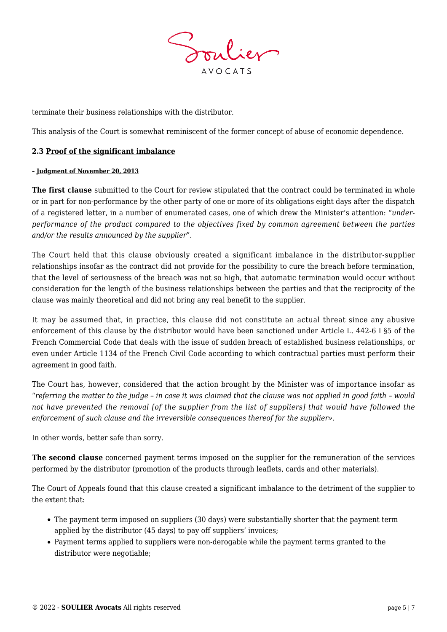

terminate their business relationships with the distributor.

This analysis of the Court is somewhat reminiscent of the former concept of abuse of economic dependence.

#### **2.3 Proof of the significant imbalance**

#### **– Judgment of November 20, 2013**

**The first clause** submitted to the Court for review stipulated that the contract could be terminated in whole or in part for non-performance by the other party of one or more of its obligations eight days after the dispatch of a registered letter, in a number of enumerated cases, one of which drew the Minister's attention: *"underperformance of the product compared to the objectives fixed by common agreement between the parties and/or the results announced by the supplier"*.

The Court held that this clause obviously created a significant imbalance in the distributor-supplier relationships insofar as the contract did not provide for the possibility to cure the breach before termination, that the level of seriousness of the breach was not so high, that automatic termination would occur without consideration for the length of the business relationships between the parties and that the reciprocity of the clause was mainly theoretical and did not bring any real benefit to the supplier.

It may be assumed that, in practice, this clause did not constitute an actual threat since any abusive enforcement of this clause by the distributor would have been sanctioned under Article L. 442-6 I §5 of the French Commercial Code that deals with the issue of sudden breach of established business relationships, or even under Article 1134 of the French Civil Code according to which contractual parties must perform their agreement in good faith.

The Court has, however, considered that the action brought by the Minister was of importance insofar as "*referring the matter to the judge – in case it was claimed that the clause was not applied in good faith – would not have prevented the removal [of the supplier from the list of suppliers] that would have followed the enforcement of such clause and the irreversible consequences thereof for the supplier»*.

In other words, better safe than sorry.

**The second clause** concerned payment terms imposed on the supplier for the remuneration of the services performed by the distributor (promotion of the products through leaflets, cards and other materials).

The Court of Appeals found that this clause created a significant imbalance to the detriment of the supplier to the extent that:

- The payment term imposed on suppliers (30 days) were substantially shorter that the payment term applied by the distributor (45 days) to pay off suppliers' invoices;
- Payment terms applied to suppliers were non-derogable while the payment terms granted to the distributor were negotiable;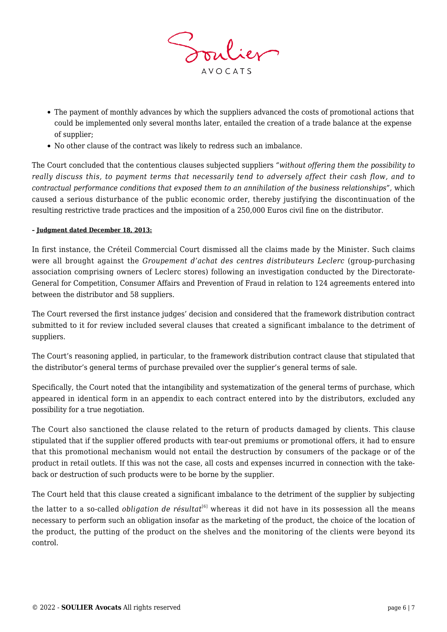

- The payment of monthly advances by which the suppliers advanced the costs of promotional actions that could be implemented only several months later, entailed the creation of a trade balance at the expense of supplier;
- No other clause of the contract was likely to redress such an imbalance.

The Court concluded that the contentious clauses subjected suppliers *"without offering them the possibility to really discuss this, to payment terms that necessarily tend to adversely affect their cash flow, and to contractual performance conditions that exposed them to an annihilation of the business relationships",* which caused a serious disturbance of the public economic order, thereby justifying the discontinuation of the resulting restrictive trade practices and the imposition of a 250,000 Euros civil fine on the distributor.

#### **– Judgment dated December 18, 2013:**

In first instance, the Créteil Commercial Court dismissed all the claims made by the Minister. Such claims were all brought against the *Groupement d'achat des centres distributeurs Leclerc* (group-purchasing association comprising owners of Leclerc stores) following an investigation conducted by the Directorate-General for Competition, Consumer Affairs and Prevention of Fraud in relation to 124 agreements entered into between the distributor and 58 suppliers.

The Court reversed the first instance judges' decision and considered that the framework distribution contract submitted to it for review included several clauses that created a significant imbalance to the detriment of suppliers.

The Court's reasoning applied, in particular, to the framework distribution contract clause that stipulated that the distributor's general terms of purchase prevailed over the supplier's general terms of sale.

Specifically, the Court noted that the intangibility and systematization of the general terms of purchase, which appeared in identical form in an appendix to each contract entered into by the distributors, excluded any possibility for a true negotiation.

The Court also sanctioned the clause related to the return of products damaged by clients. This clause stipulated that if the supplier offered products with tear-out premiums or promotional offers, it had to ensure that this promotional mechanism would not entail the destruction by consumers of the package or of the product in retail outlets. If this was not the case, all costs and expenses incurred in connection with the takeback or destruction of such products were to be borne by the supplier.

The Court held that this clause created a significant imbalance to the detriment of the supplier by subjecting

the latter to a so-called *obligation de résultat*<sup>[6]</sup> whereas it did not have in its possession all the means necessary to perform such an obligation insofar as the marketing of the product, the choice of the location of the product, the putting of the product on the shelves and the monitoring of the clients were beyond its control.